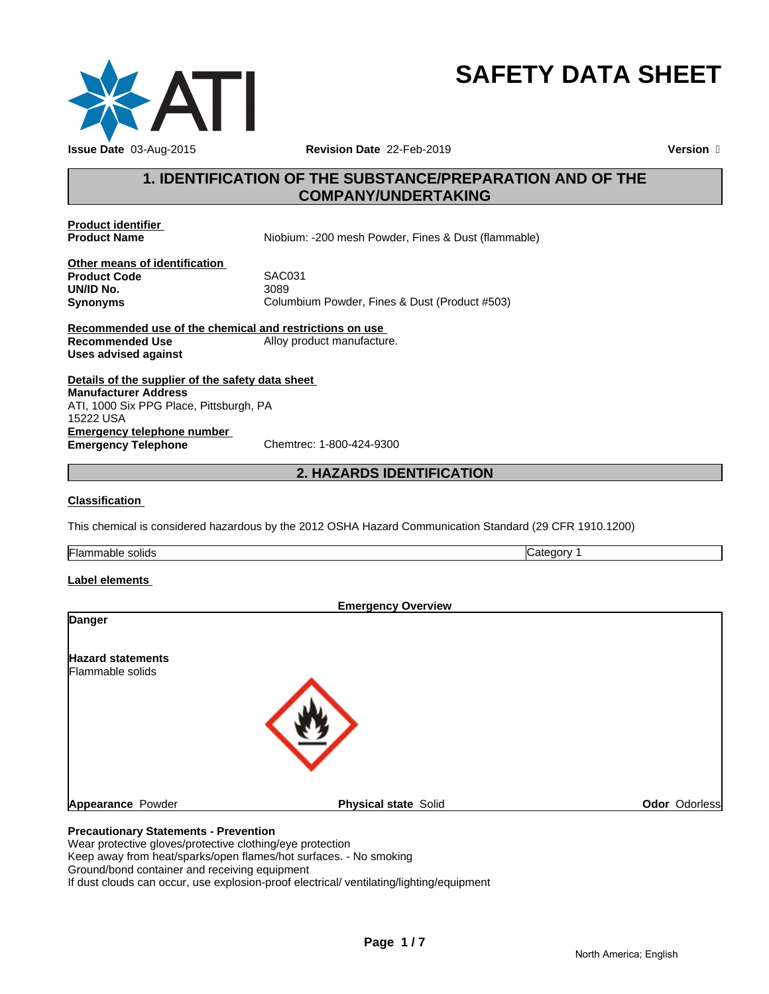

**SAFETY DATA SHEET**

## **1. IDENTIFICATION OF THE SUBSTANCE/PREPARATION AND OF THE COMPANY/UNDERTAKING**

**Product identifier** 

Niobium: -200 mesh Powder, Fines & Dust (flammable)

**Other means of identification**<br>**Product Code** SAC031 **Product Code** SAC031 **UN/ID No.** 

**Synonyms** Columbium Powder, Fines & Dust (Product #503)

**Recommended use of the chemical and restrictions on use Recommended Use** Alloy product manufacture. **Uses advised against**

**Details of the supplier of the safety data sheet Emergency telephone number**<br> **Emergency Telephone**<br>
Chemtrec: 1-800-424-9300 **Emergency Telephone Manufacturer Address** ATI, 1000 Six PPG Place, Pittsburgh, PA 15222 USA

## **2. HAZARDS IDENTIFICATION**

### **Classification**

This chemical is considered hazardous by the 2012 OSHA Hazard Communication Standard (29 CFR 1910.1200)

Flammable solids **Category 1 Category 1** 

### **Label elements**

| <b>Emergency Overview</b>                        |               |
|--------------------------------------------------|---------------|
| <b>Danger</b>                                    |               |
| <b>Hazard statements</b><br>Flammable solids     |               |
|                                                  |               |
| Appearance Powder<br><b>Physical state Solid</b> | Odor Odorless |
| <b>Precautionary Statements - Prevention</b>     |               |

Wear protective gloves/protective clothing/eye protection Keep away from heat/sparks/open flames/hot surfaces. - No smoking Ground/bond container and receiving equipment If dust clouds can occur, use explosion-proof electrical/ ventilating/lighting/equipment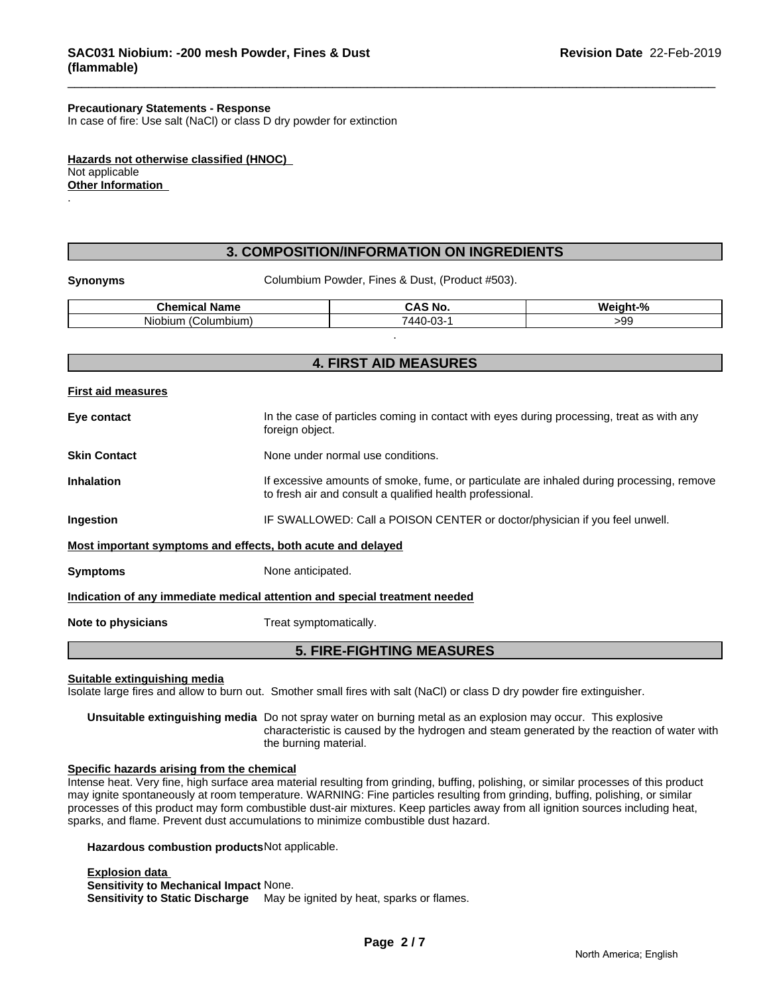### **Precautionary Statements - Response**

In case of fire: Use salt (NaCl) or class D dry powder for extinction

**Hazards not otherwise classified (HNOC)**  Not applicable **Other Information**  .

### **3. COMPOSITION/INFORMATION ON INGREDIENTS**

**Synonyms** Columbium Powder, Fines & Dust, (Product #503).

| <b>Chemical Name</b>      | <b>CAS No.</b> | Weiaht-% |
|---------------------------|----------------|----------|
| .<br>`olumbium<br>Niobium | 7440-03-       | -99      |
|                           |                |          |

|                           | <b>4. FIRST AID MEASURES</b>                                                                                                                           |
|---------------------------|--------------------------------------------------------------------------------------------------------------------------------------------------------|
| <b>First aid measures</b> |                                                                                                                                                        |
| Eye contact               | In the case of particles coming in contact with eyes during processing, treat as with any<br>foreign object.                                           |
| <b>Skin Contact</b>       | None under normal use conditions.                                                                                                                      |
| <b>Inhalation</b>         | If excessive amounts of smoke, fume, or particulate are inhaled during processing, remove<br>to fresh air and consult a qualified health professional. |
| Ingestion                 | IF SWALLOWED: Call a POISON CENTER or doctor/physician if you feel unwell.                                                                             |
|                           | Most important symptoms and effects, both acute and delayed                                                                                            |
| <b>Symptoms</b>           | None anticipated.                                                                                                                                      |
|                           | Indication of any immediate medical attention and special treatment needed                                                                             |
| Note to physicians        | Treat symptomatically.                                                                                                                                 |
|                           | <b>5. FIRE-FIGHTING MEASURES</b>                                                                                                                       |

**Suitable extinguishing media**

Isolate large fires and allow to burn out. Smother small fires with salt (NaCl) or class D dry powder fire extinguisher.

**Unsuitable extinguishing media** Do not spray water on burning metal as an explosion may occur. This explosive characteristic is caused by the hydrogen and steam generated by the reaction of water with the burning material.

### **Specific hazards arising from the chemical**

Intense heat. Very fine, high surface area material resulting from grinding, buffing, polishing, or similar processes of this product may ignite spontaneously at room temperature. WARNING: Fine particles resulting from grinding, buffing, polishing, or similar processes of this product may form combustible dust-air mixtures. Keep particles away from all ignition sources including heat, sparks, and flame. Prevent dust accumulations to minimize combustible dust hazard.

**Hazardous combustion products**Not applicable.

**Explosion data Sensitivity to Mechanical Impact** None.

**Sensitivity to Static Discharge** May be ignited by heat, sparks or flames.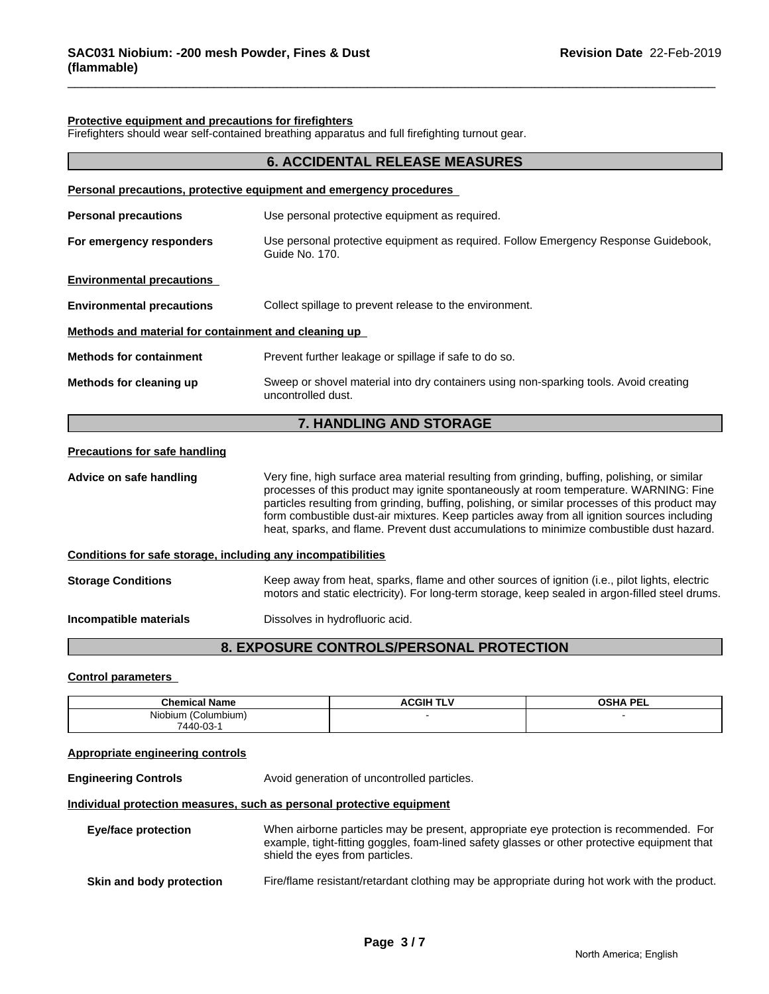### **Protective equipment and precautions for firefighters**

Firefighters should wear self-contained breathing apparatus and full firefighting turnout gear.

|                                                              | <b>6. ACCIDENTAL RELEASE MEASURES</b>                                                                                                                                                                                                                                                                                                                                                                                                                                                |  |  |  |
|--------------------------------------------------------------|--------------------------------------------------------------------------------------------------------------------------------------------------------------------------------------------------------------------------------------------------------------------------------------------------------------------------------------------------------------------------------------------------------------------------------------------------------------------------------------|--|--|--|
|                                                              | Personal precautions, protective equipment and emergency procedures                                                                                                                                                                                                                                                                                                                                                                                                                  |  |  |  |
| <b>Personal precautions</b>                                  | Use personal protective equipment as required.                                                                                                                                                                                                                                                                                                                                                                                                                                       |  |  |  |
| For emergency responders                                     | Use personal protective equipment as required. Follow Emergency Response Guidebook,<br>Guide No. 170.                                                                                                                                                                                                                                                                                                                                                                                |  |  |  |
| <b>Environmental precautions</b>                             |                                                                                                                                                                                                                                                                                                                                                                                                                                                                                      |  |  |  |
| <b>Environmental precautions</b>                             | Collect spillage to prevent release to the environment.                                                                                                                                                                                                                                                                                                                                                                                                                              |  |  |  |
| Methods and material for containment and cleaning up         |                                                                                                                                                                                                                                                                                                                                                                                                                                                                                      |  |  |  |
| <b>Methods for containment</b>                               | Prevent further leakage or spillage if safe to do so.                                                                                                                                                                                                                                                                                                                                                                                                                                |  |  |  |
| Methods for cleaning up                                      | Sweep or shovel material into dry containers using non-sparking tools. Avoid creating<br>uncontrolled dust.                                                                                                                                                                                                                                                                                                                                                                          |  |  |  |
|                                                              | 7. HANDLING AND STORAGE                                                                                                                                                                                                                                                                                                                                                                                                                                                              |  |  |  |
| <b>Precautions for safe handling</b>                         |                                                                                                                                                                                                                                                                                                                                                                                                                                                                                      |  |  |  |
| Advice on safe handling                                      | Very fine, high surface area material resulting from grinding, buffing, polishing, or similar<br>processes of this product may ignite spontaneously at room temperature. WARNING: Fine<br>particles resulting from grinding, buffing, polishing, or similar processes of this product may<br>form combustible dust-air mixtures. Keep particles away from all ignition sources including<br>heat, sparks, and flame. Prevent dust accumulations to minimize combustible dust hazard. |  |  |  |
| Conditions for safe storage, including any incompatibilities |                                                                                                                                                                                                                                                                                                                                                                                                                                                                                      |  |  |  |
| <b>Storage Conditions</b>                                    | Keep away from heat, sparks, flame and other sources of ignition (i.e., pilot lights, electric<br>motors and static electricity). For long-term storage, keep sealed in argon-filled steel drums.                                                                                                                                                                                                                                                                                    |  |  |  |
| Incompatible materials                                       | Dissolves in hydrofluoric acid.                                                                                                                                                                                                                                                                                                                                                                                                                                                      |  |  |  |

### **8. EXPOSURE CONTROLS/PERSONAL PROTECTION**

### **Control parameters**

| .<br><b>Chemical Name</b>                | <b>ACGIH TLV</b> | <b>OSHA PEL</b> |
|------------------------------------------|------------------|-----------------|
| <b>Niobium</b><br>. .<br>Columbium)<br>. |                  |                 |
| 7440-03-                                 |                  |                 |

### **Appropriate engineering controls**

**Engineering Controls Avoid generation of uncontrolled particles. Individual protection measures, such as personal protective equipment**

| Eye/face protection | When airborne particles may be present, appropriate eye protection is recommended. For<br>example, tight-fitting goggles, foam-lined safety glasses or other protective equipment that<br>shield the eyes from particles. |
|---------------------|---------------------------------------------------------------------------------------------------------------------------------------------------------------------------------------------------------------------------|
|                     |                                                                                                                                                                                                                           |

**Skin and body protection** Fire/flame resistant/retardant clothing may be appropriate during hot work with the product.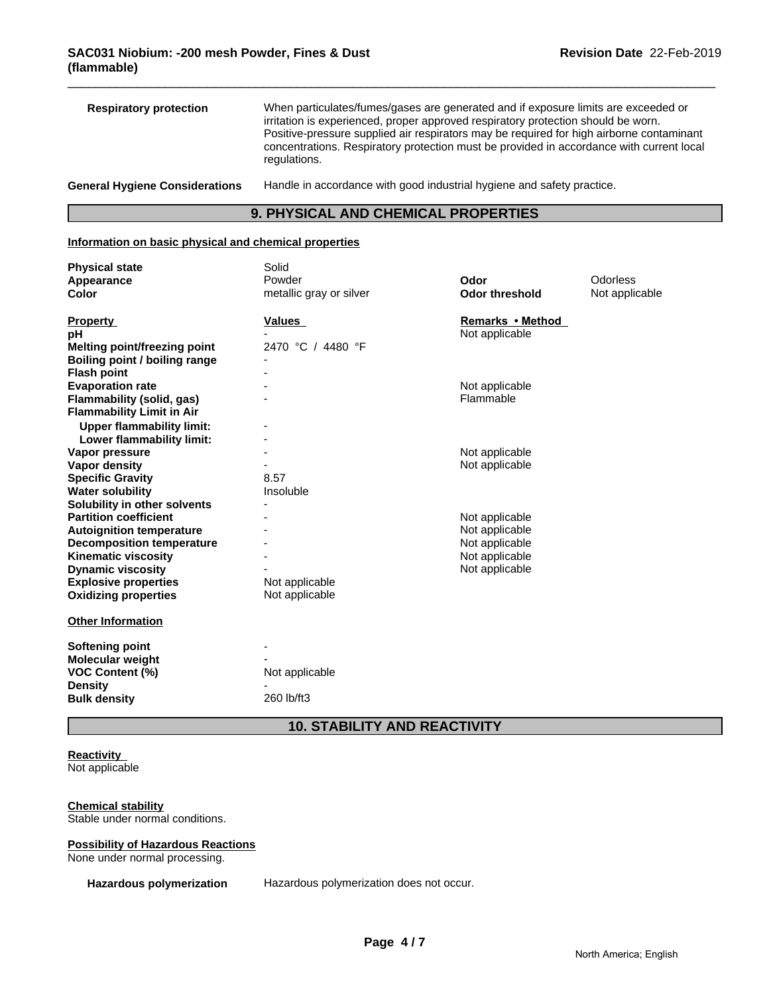| <b>Respiratory protection</b>         | When particulates/fumes/gases are generated and if exposure limits are exceeded or<br>irritation is experienced, proper approved respiratory protection should be worn.<br>Positive-pressure supplied air respirators may be required for high airborne contaminant<br>concentrations. Respiratory protection must be provided in accordance with current local<br>regulations. |
|---------------------------------------|---------------------------------------------------------------------------------------------------------------------------------------------------------------------------------------------------------------------------------------------------------------------------------------------------------------------------------------------------------------------------------|
| <b>General Hygiene Considerations</b> | Handle in accordance with good industrial hygiene and safety practice.                                                                                                                                                                                                                                                                                                          |

## **9. PHYSICAL AND CHEMICAL PROPERTIES**

### **Information on basic physical and chemical properties**

| <b>Physical state</b>            | Solid                   |                       |                |
|----------------------------------|-------------------------|-----------------------|----------------|
| Appearance                       | Powder                  | Odor                  | Odorless       |
| Color                            | metallic gray or silver | <b>Odor threshold</b> | Not applicable |
|                                  |                         |                       |                |
| <b>Property</b>                  | <b>Values</b>           | Remarks • Method      |                |
| рH                               |                         | Not applicable        |                |
| Melting point/freezing point     | 2470 °C / 4480 °F       |                       |                |
| Boiling point / boiling range    |                         |                       |                |
| <b>Flash point</b>               |                         |                       |                |
| <b>Evaporation rate</b>          |                         | Not applicable        |                |
| Flammability (solid, gas)        |                         | Flammable             |                |
| <b>Flammability Limit in Air</b> |                         |                       |                |
| <b>Upper flammability limit:</b> |                         |                       |                |
| Lower flammability limit:        |                         |                       |                |
| Vapor pressure                   |                         | Not applicable        |                |
| Vapor density                    |                         | Not applicable        |                |
| <b>Specific Gravity</b>          | 8.57                    |                       |                |
| <b>Water solubility</b>          | Insoluble               |                       |                |
| Solubility in other solvents     |                         |                       |                |
| <b>Partition coefficient</b>     |                         | Not applicable        |                |
| <b>Autoignition temperature</b>  |                         | Not applicable        |                |
| <b>Decomposition temperature</b> |                         | Not applicable        |                |
| <b>Kinematic viscosity</b>       |                         | Not applicable        |                |
| <b>Dynamic viscosity</b>         |                         | Not applicable        |                |
| <b>Explosive properties</b>      | Not applicable          |                       |                |
| <b>Oxidizing properties</b>      | Not applicable          |                       |                |
| <b>Other Information</b>         |                         |                       |                |
|                                  |                         |                       |                |
| <b>Softening point</b>           |                         |                       |                |
| <b>Molecular weight</b>          |                         |                       |                |
| <b>VOC Content (%)</b>           | Not applicable          |                       |                |
| <b>Density</b>                   |                         |                       |                |
| <b>Bulk density</b>              | 260 lb/ft3              |                       |                |
|                                  |                         |                       |                |
|                                  |                         |                       |                |

## **10. STABILITY AND REACTIVITY**

## **Reactivity**

Not applicable

## **Chemical stability**

Stable under normal conditions.

### **Possibility of Hazardous Reactions**

None under normal processing.

**Hazardous polymerization** Hazardous polymerization does not occur.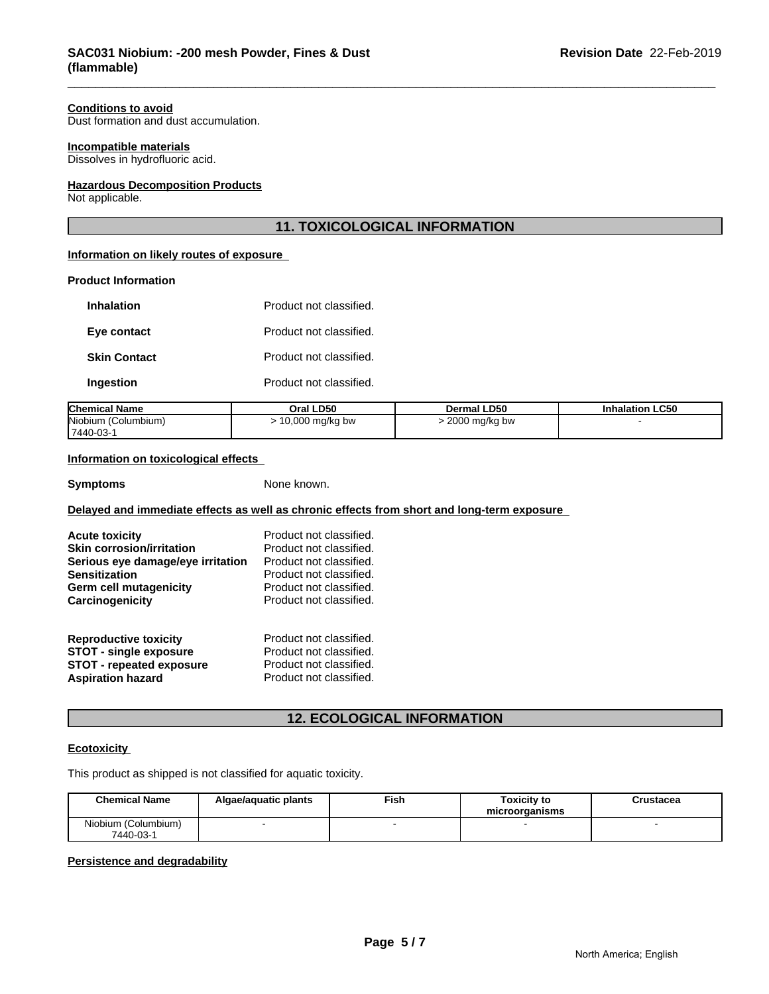### **Conditions to avoid**

Dust formation and dust accumulation.

### **Incompatible materials**

Dissolves in hydrofluoric acid.

### **Hazardous Decomposition Products**

Not applicable.

### **11. TOXICOLOGICAL INFORMATION**

### **Information on likely routes of exposure**

### **Product Information**

| Inhalation          | Product not classified. |
|---------------------|-------------------------|
| Eye contact         | Product not classified. |
| <b>Skin Contact</b> | Product not classified. |
| Ingestion           | Product not classified. |

| <b>Chemical Name</b> | Oral LD50       | <b>Dermal LD50</b>    | <b>Inhalation LC50</b> |
|----------------------|-----------------|-----------------------|------------------------|
| Niobium (Columbium)  | 10,000 mg/kg bw | $\cdot$ 2000 mg/kg bw |                        |
| 7440-03-1            |                 |                       |                        |

### **Information on toxicological effects**

**Symptoms** None known.

### **Delayed and immediate effects as well as chronic effects from short and long-term exposure**

| <b>Acute toxicity</b>             | Product not classified. |
|-----------------------------------|-------------------------|
| <b>Skin corrosion/irritation</b>  | Product not classified. |
| Serious eye damage/eye irritation | Product not classified. |
| Sensitization                     | Product not classified. |
| Germ cell mutagenicity            | Product not classified. |
| Carcinogenicity                   | Product not classified. |
| <b>Reproductive toxicity</b>      | Product not classified. |
| <b>STOT - single exposure</b>     | Product not classified. |
| <b>STOT - repeated exposure</b>   | Product not classified. |
| <b>Aspiration hazard</b>          | Product not classified. |

## **12. ECOLOGICAL INFORMATION**

### **Ecotoxicity**

This product as shipped is not classified for aquatic toxicity.

| <b>Chemical Name</b>             | Algae/aquatic plants | Fish | Toxicitv to<br>microorganisms | Crustacea |
|----------------------------------|----------------------|------|-------------------------------|-----------|
| Niobium (Columbium)<br>7440-03-1 |                      |      |                               |           |

### **Persistence and degradability**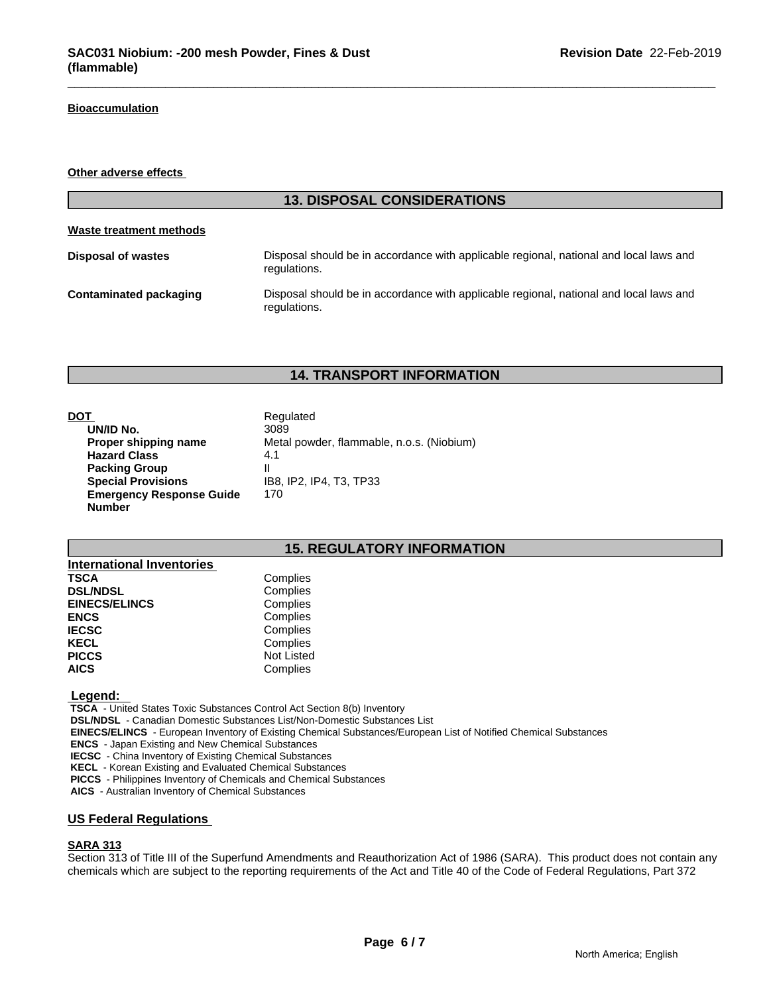### **Bioaccumulation**

### **Other adverse effects**

# **13. DISPOSAL CONSIDERATIONS Waste treatment methods Disposal of wastes** Disposal should be in accordance with applicable regional, national and local laws and regulations. **Contaminated packaging The Disposal should be in accordance with applicable regional, national and local laws and** regulations.

## **14. TRANSPORT INFORMATION**

**DOT**<br> **DOT**<br> **DOMID No.**<br> **Regulated**<br> **Regulated UN/ID No. Proper shipping name** Metal powder, flammable, n.o.s. (Niobium) Hazard Class 4.1 **Packing Group** II **Special Provisions** IB8, IP2, IP4, T3, TP33 **Emergency Response Guide Number** 170

### **15. REGULATORY INFORMATION**

| <b>International Inventories</b> |                   |
|----------------------------------|-------------------|
| <b>TSCA</b>                      | Complies          |
| <b>DSL/NDSL</b>                  | Complies          |
| <b>EINECS/ELINCS</b>             | Complies          |
| <b>ENCS</b>                      | Complies          |
| <b>IECSC</b>                     | Complies          |
| <b>KECL</b>                      | Complies          |
| <b>PICCS</b>                     | <b>Not Listed</b> |
| <b>AICS</b>                      | Complies          |

### **Legend:**

 **TSCA** - United States Toxic Substances Control Act Section 8(b) Inventory

 **DSL/NDSL** - Canadian Domestic Substances List/Non-Domestic Substances List

 **EINECS/ELINCS** - European Inventory of Existing Chemical Substances/European List of Notified Chemical Substances

 **ENCS** - Japan Existing and New Chemical Substances

 **IECSC** - China Inventory of Existing Chemical Substances

 **KECL** - Korean Existing and Evaluated Chemical Substances

 **PICCS** - Philippines Inventory of Chemicals and Chemical Substances

 **AICS** - Australian Inventory of Chemical Substances

### **US Federal Regulations**

### **SARA 313**

Section 313 of Title III of the Superfund Amendments and Reauthorization Act of 1986 (SARA). This product does not contain any chemicals which are subject to the reporting requirements of the Act and Title 40 of the Code of Federal Regulations, Part 372